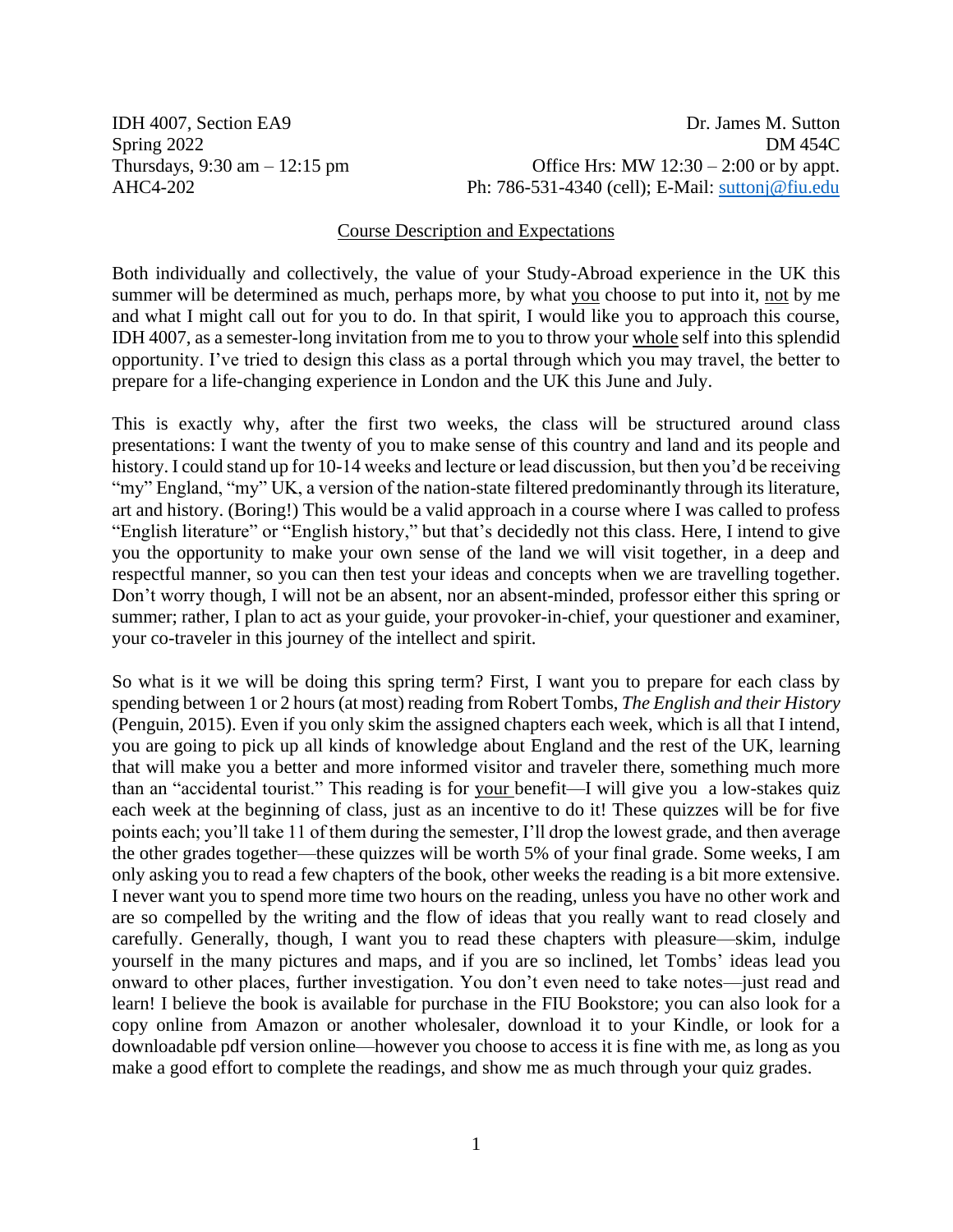IDH 4007, Section EA9 Dr. James M. Sutton Spring 2022 DM 454C Thursdays,  $9:30 \text{ am} - 12:15 \text{ pm}$  Office Hrs: MW  $12:30 - 2:00 \text{ or by appt.}$ AHC4-202 Ph: 786-531-4340 (cell); E-Mail: suttonj@fiu.edu

#### Course Description and Expectations

Both individually and collectively, the value of your Study-Abroad experience in the UK this summer will be determined as much, perhaps more, by what you choose to put into it, not by me and what I might call out for you to do. In that spirit, I would like you to approach this course, IDH 4007, as a semester-long invitation from me to you to throw your whole self into this splendid opportunity. I've tried to design this class as a portal through which you may travel, the better to prepare for a life-changing experience in London and the UK this June and July.

This is exactly why, after the first two weeks, the class will be structured around class presentations: I want the twenty of you to make sense of this country and land and its people and history. I could stand up for 10-14 weeks and lecture or lead discussion, but then you'd be receiving "my" England, "my" UK, a version of the nation-state filtered predominantly through its literature, art and history. (Boring!) This would be a valid approach in a course where I was called to profess "English literature" or "English history," but that's decidedly not this class. Here, I intend to give you the opportunity to make your own sense of the land we will visit together, in a deep and respectful manner, so you can then test your ideas and concepts when we are travelling together. Don't worry though, I will not be an absent, nor an absent-minded, professor either this spring or summer; rather, I plan to act as your guide, your provoker-in-chief, your questioner and examiner, your co-traveler in this journey of the intellect and spirit.

So what is it we will be doing this spring term? First, I want you to prepare for each class by spending between 1 or 2 hours (at most) reading from Robert Tombs, *The English and their History* (Penguin, 2015). Even if you only skim the assigned chapters each week, which is all that I intend, you are going to pick up all kinds of knowledge about England and the rest of the UK, learning that will make you a better and more informed visitor and traveler there, something much more than an "accidental tourist." This reading is for your benefit—I will give you a low-stakes quiz each week at the beginning of class, just as an incentive to do it! These quizzes will be for five points each; you'll take 11 of them during the semester, I'll drop the lowest grade, and then average the other grades together—these quizzes will be worth 5% of your final grade. Some weeks, I am only asking you to read a few chapters of the book, other weeks the reading is a bit more extensive. I never want you to spend more time two hours on the reading, unless you have no other work and are so compelled by the writing and the flow of ideas that you really want to read closely and carefully. Generally, though, I want you to read these chapters with pleasure—skim, indulge yourself in the many pictures and maps, and if you are so inclined, let Tombs' ideas lead you onward to other places, further investigation. You don't even need to take notes—just read and learn! I believe the book is available for purchase in the FIU Bookstore; you can also look for a copy online from Amazon or another wholesaler, download it to your Kindle, or look for a downloadable pdf version online—however you choose to access it is fine with me, as long as you make a good effort to complete the readings, and show me as much through your quiz grades.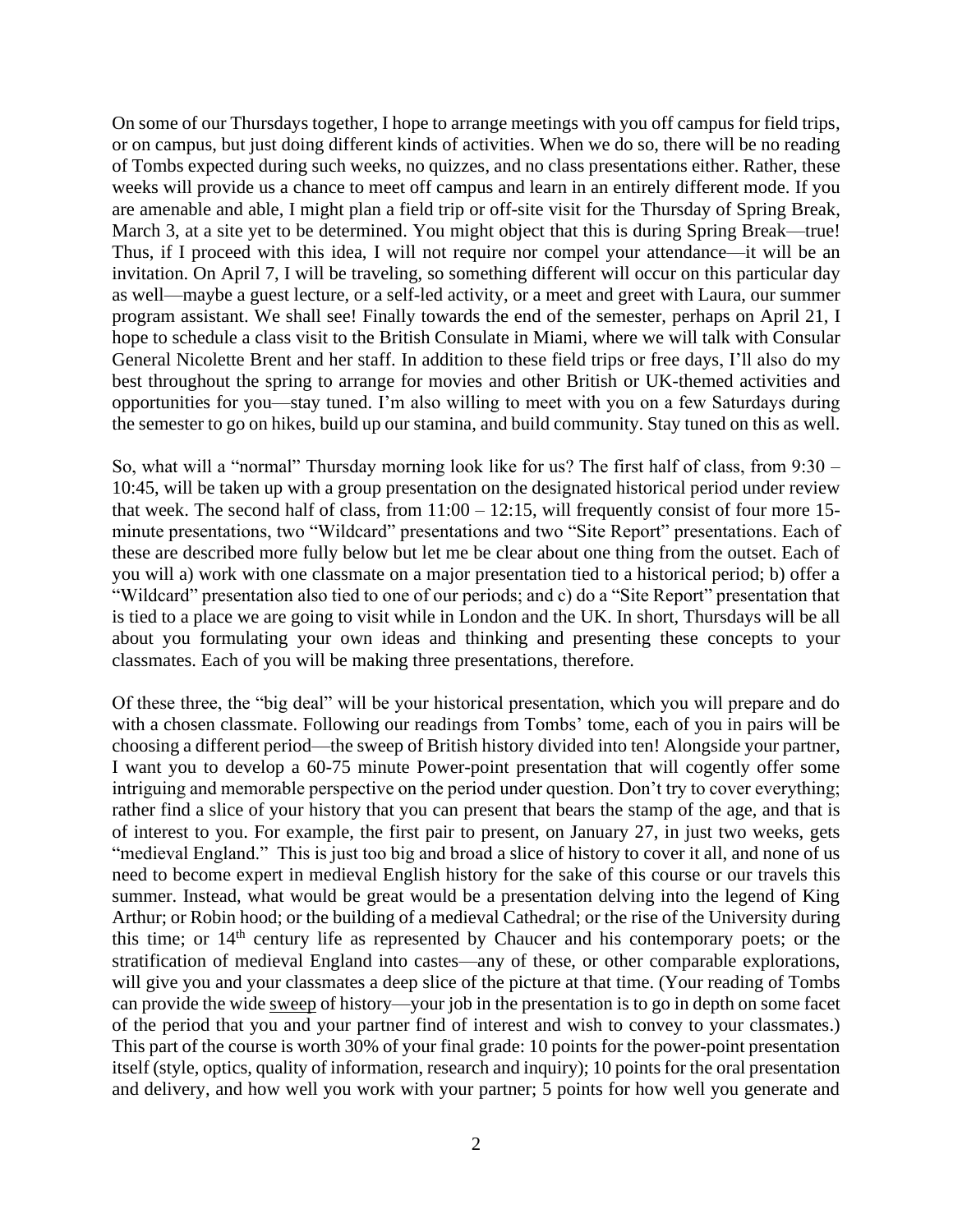On some of our Thursdays together, I hope to arrange meetings with you off campus for field trips, or on campus, but just doing different kinds of activities. When we do so, there will be no reading of Tombs expected during such weeks, no quizzes, and no class presentations either. Rather, these weeks will provide us a chance to meet off campus and learn in an entirely different mode. If you are amenable and able, I might plan a field trip or off-site visit for the Thursday of Spring Break, March 3, at a site yet to be determined. You might object that this is during Spring Break—true! Thus, if I proceed with this idea, I will not require nor compel your attendance—it will be an invitation. On April 7, I will be traveling, so something different will occur on this particular day as well—maybe a guest lecture, or a self-led activity, or a meet and greet with Laura, our summer program assistant. We shall see! Finally towards the end of the semester, perhaps on April 21, I hope to schedule a class visit to the British Consulate in Miami, where we will talk with Consular General Nicolette Brent and her staff. In addition to these field trips or free days, I'll also do my best throughout the spring to arrange for movies and other British or UK-themed activities and opportunities for you—stay tuned. I'm also willing to meet with you on a few Saturdays during the semester to go on hikes, build up our stamina, and build community. Stay tuned on this as well.

So, what will a "normal" Thursday morning look like for us? The first half of class, from 9:30 – 10:45, will be taken up with a group presentation on the designated historical period under review that week. The second half of class, from 11:00 – 12:15, will frequently consist of four more 15 minute presentations, two "Wildcard" presentations and two "Site Report" presentations. Each of these are described more fully below but let me be clear about one thing from the outset. Each of you will a) work with one classmate on a major presentation tied to a historical period; b) offer a "Wildcard" presentation also tied to one of our periods; and c) do a "Site Report" presentation that is tied to a place we are going to visit while in London and the UK. In short, Thursdays will be all about you formulating your own ideas and thinking and presenting these concepts to your classmates. Each of you will be making three presentations, therefore.

Of these three, the "big deal" will be your historical presentation, which you will prepare and do with a chosen classmate. Following our readings from Tombs' tome, each of you in pairs will be choosing a different period—the sweep of British history divided into ten! Alongside your partner, I want you to develop a 60-75 minute Power-point presentation that will cogently offer some intriguing and memorable perspective on the period under question. Don't try to cover everything; rather find a slice of your history that you can present that bears the stamp of the age, and that is of interest to you. For example, the first pair to present, on January 27, in just two weeks, gets "medieval England." This is just too big and broad a slice of history to cover it all, and none of us need to become expert in medieval English history for the sake of this course or our travels this summer. Instead, what would be great would be a presentation delving into the legend of King Arthur; or Robin hood; or the building of a medieval Cathedral; or the rise of the University during this time; or  $14<sup>th</sup>$  century life as represented by Chaucer and his contemporary poets; or the stratification of medieval England into castes—any of these, or other comparable explorations, will give you and your classmates a deep slice of the picture at that time. (Your reading of Tombs can provide the wide sweep of history—your job in the presentation is to go in depth on some facet of the period that you and your partner find of interest and wish to convey to your classmates.) This part of the course is worth 30% of your final grade: 10 points for the power-point presentation itself (style, optics, quality of information, research and inquiry); 10 points for the oral presentation and delivery, and how well you work with your partner; 5 points for how well you generate and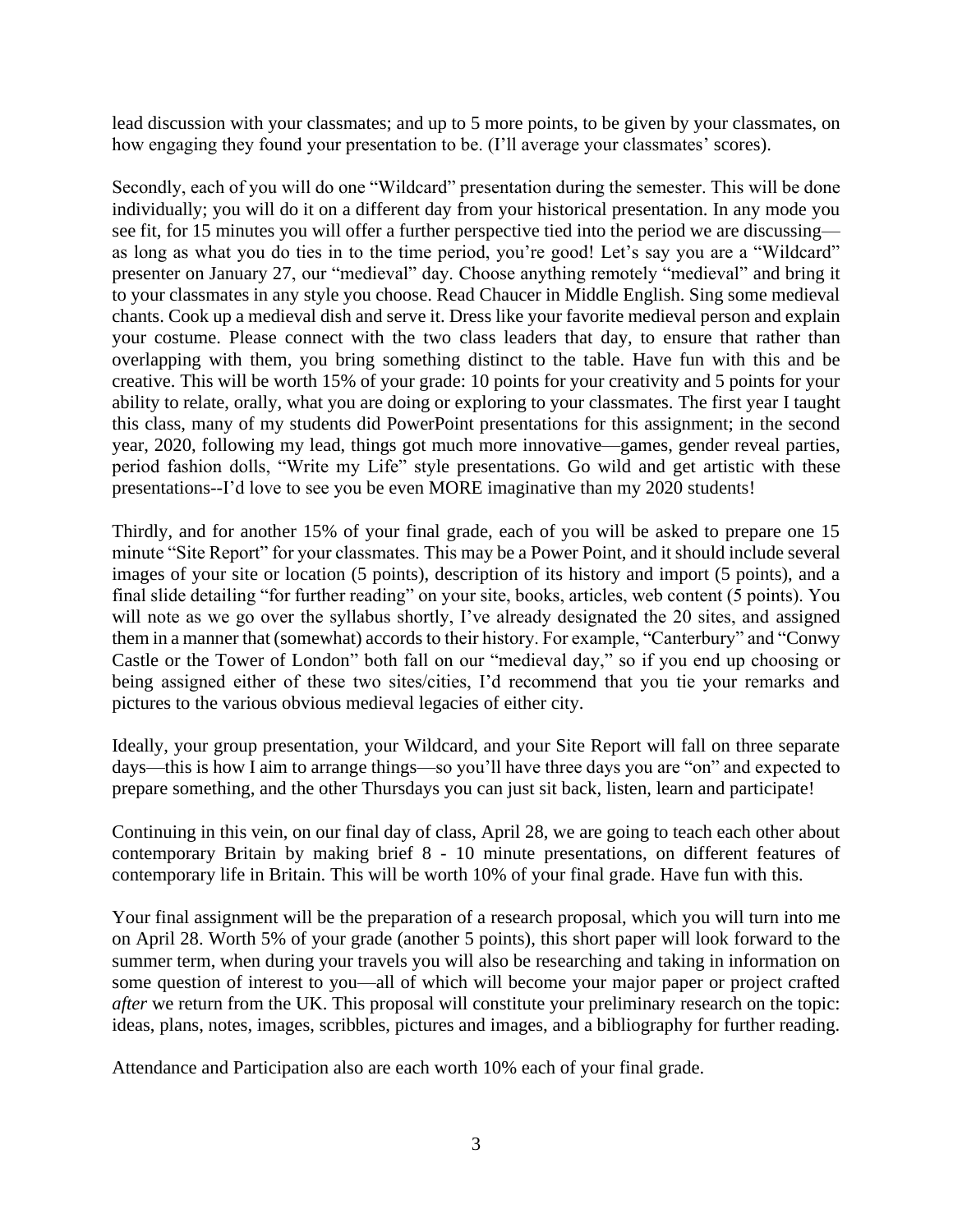lead discussion with your classmates; and up to 5 more points, to be given by your classmates, on how engaging they found your presentation to be. (I'll average your classmates' scores).

Secondly, each of you will do one "Wildcard" presentation during the semester. This will be done individually; you will do it on a different day from your historical presentation. In any mode you see fit, for 15 minutes you will offer a further perspective tied into the period we are discussing as long as what you do ties in to the time period, you're good! Let's say you are a "Wildcard" presenter on January 27, our "medieval" day. Choose anything remotely "medieval" and bring it to your classmates in any style you choose. Read Chaucer in Middle English. Sing some medieval chants. Cook up a medieval dish and serve it. Dress like your favorite medieval person and explain your costume. Please connect with the two class leaders that day, to ensure that rather than overlapping with them, you bring something distinct to the table. Have fun with this and be creative. This will be worth 15% of your grade: 10 points for your creativity and 5 points for your ability to relate, orally, what you are doing or exploring to your classmates. The first year I taught this class, many of my students did PowerPoint presentations for this assignment; in the second year, 2020, following my lead, things got much more innovative—games, gender reveal parties, period fashion dolls, "Write my Life" style presentations. Go wild and get artistic with these presentations--I'd love to see you be even MORE imaginative than my 2020 students!

Thirdly, and for another 15% of your final grade, each of you will be asked to prepare one 15 minute "Site Report" for your classmates. This may be a Power Point, and it should include several images of your site or location (5 points), description of its history and import (5 points), and a final slide detailing "for further reading" on your site, books, articles, web content (5 points). You will note as we go over the syllabus shortly, I've already designated the 20 sites, and assigned them in a manner that (somewhat) accords to their history. For example, "Canterbury" and "Conwy Castle or the Tower of London" both fall on our "medieval day," so if you end up choosing or being assigned either of these two sites/cities, I'd recommend that you tie your remarks and pictures to the various obvious medieval legacies of either city.

Ideally, your group presentation, your Wildcard, and your Site Report will fall on three separate days—this is how I aim to arrange things—so you'll have three days you are "on" and expected to prepare something, and the other Thursdays you can just sit back, listen, learn and participate!

Continuing in this vein, on our final day of class, April 28, we are going to teach each other about contemporary Britain by making brief 8 - 10 minute presentations, on different features of contemporary life in Britain. This will be worth 10% of your final grade. Have fun with this.

Your final assignment will be the preparation of a research proposal, which you will turn into me on April 28. Worth 5% of your grade (another 5 points), this short paper will look forward to the summer term, when during your travels you will also be researching and taking in information on some question of interest to you—all of which will become your major paper or project crafted *after* we return from the UK. This proposal will constitute your preliminary research on the topic: ideas, plans, notes, images, scribbles, pictures and images, and a bibliography for further reading.

Attendance and Participation also are each worth 10% each of your final grade.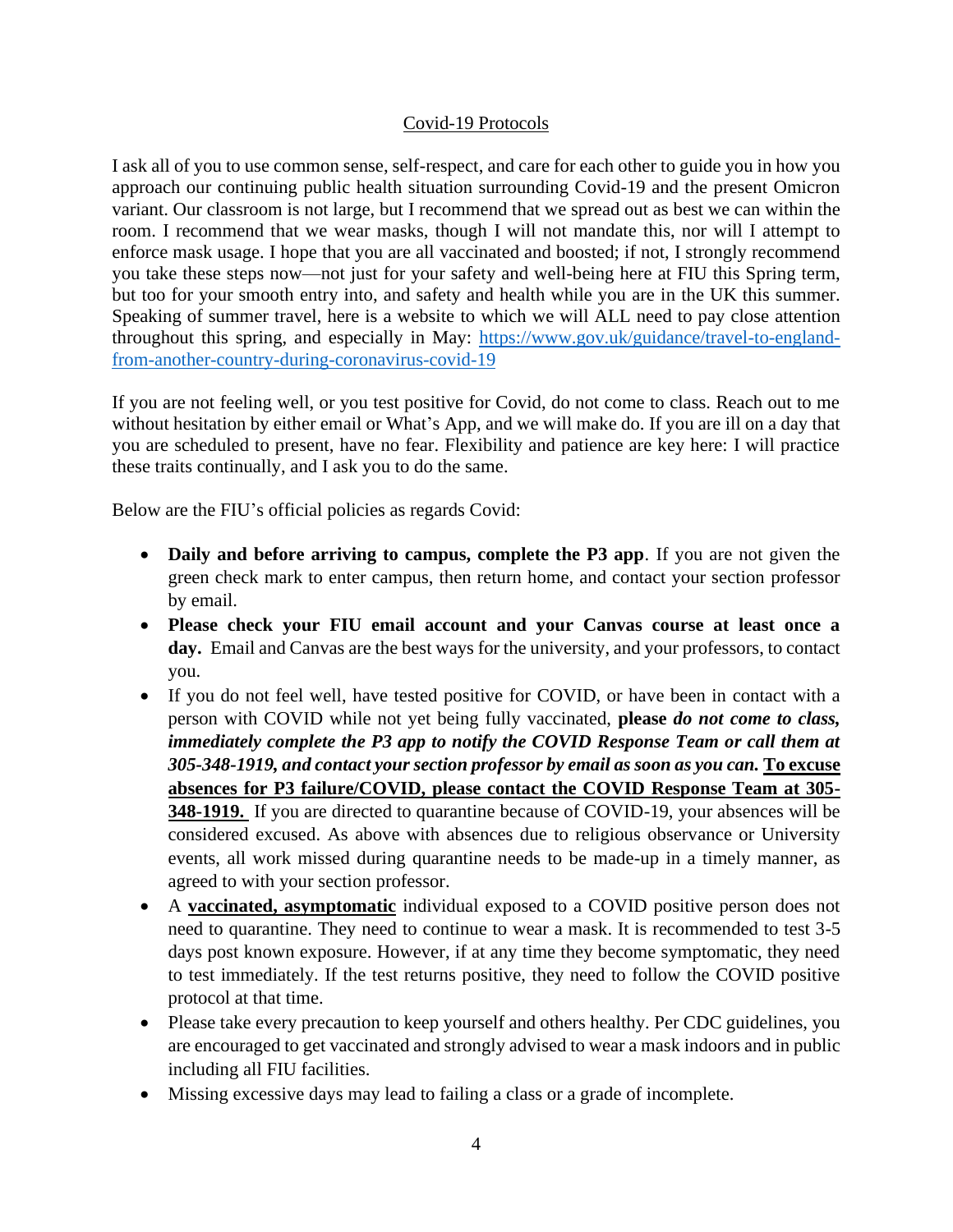# Covid-19 Protocols

I ask all of you to use common sense, self-respect, and care for each other to guide you in how you approach our continuing public health situation surrounding Covid-19 and the present Omicron variant. Our classroom is not large, but I recommend that we spread out as best we can within the room. I recommend that we wear masks, though I will not mandate this, nor will I attempt to enforce mask usage. I hope that you are all vaccinated and boosted; if not, I strongly recommend you take these steps now—not just for your safety and well-being here at FIU this Spring term, but too for your smooth entry into, and safety and health while you are in the UK this summer. Speaking of summer travel, here is a website to which we will ALL need to pay close attention throughout this spring, and especially in May: [https://www.gov.uk/guidance/travel-to-england](https://www.gov.uk/guidance/travel-to-england-from-another-country-during-coronavirus-covid-19)[from-another-country-during-coronavirus-covid-19](https://www.gov.uk/guidance/travel-to-england-from-another-country-during-coronavirus-covid-19)

If you are not feeling well, or you test positive for Covid, do not come to class. Reach out to me without hesitation by either email or What's App, and we will make do. If you are ill on a day that you are scheduled to present, have no fear. Flexibility and patience are key here: I will practice these traits continually, and I ask you to do the same.

Below are the FIU's official policies as regards Covid:

- **Daily and before arriving to campus, complete the P3 app**. If you are not given the green check mark to enter campus, then return home, and contact your section professor by email.
- **Please check your FIU email account and your Canvas course at least once a day.** Email and Canvas are the best ways for the university, and your professors, to contact you.
- If you do not feel well, have tested positive for COVID, or have been in contact with a person with COVID while not yet being fully vaccinated, **please** *do not come to class, immediately complete the P3 app to notify the COVID Response Team or call them at 305-348-1919, and contact your section professor by email as soon as you can.* **To excuse absences for P3 failure/COVID, please contact the COVID Response Team at 305- 348-1919.** If you are directed to quarantine because of COVID-19, your absences will be considered excused. As above with absences due to religious observance or University events, all work missed during quarantine needs to be made-up in a timely manner, as agreed to with your section professor.
- A **vaccinated, asymptomatic** individual exposed to a COVID positive person does not need to quarantine. They need to continue to wear a mask. It is recommended to test 3-5 days post known exposure. However, if at any time they become symptomatic, they need to test immediately. If the test returns positive, they need to follow the COVID positive protocol at that time.
- Please take every precaution to keep yourself and others healthy. Per CDC guidelines, you are encouraged to get vaccinated and strongly advised to wear a mask indoors and in public including all FIU facilities.
- Missing excessive days may lead to failing a class or a grade of incomplete.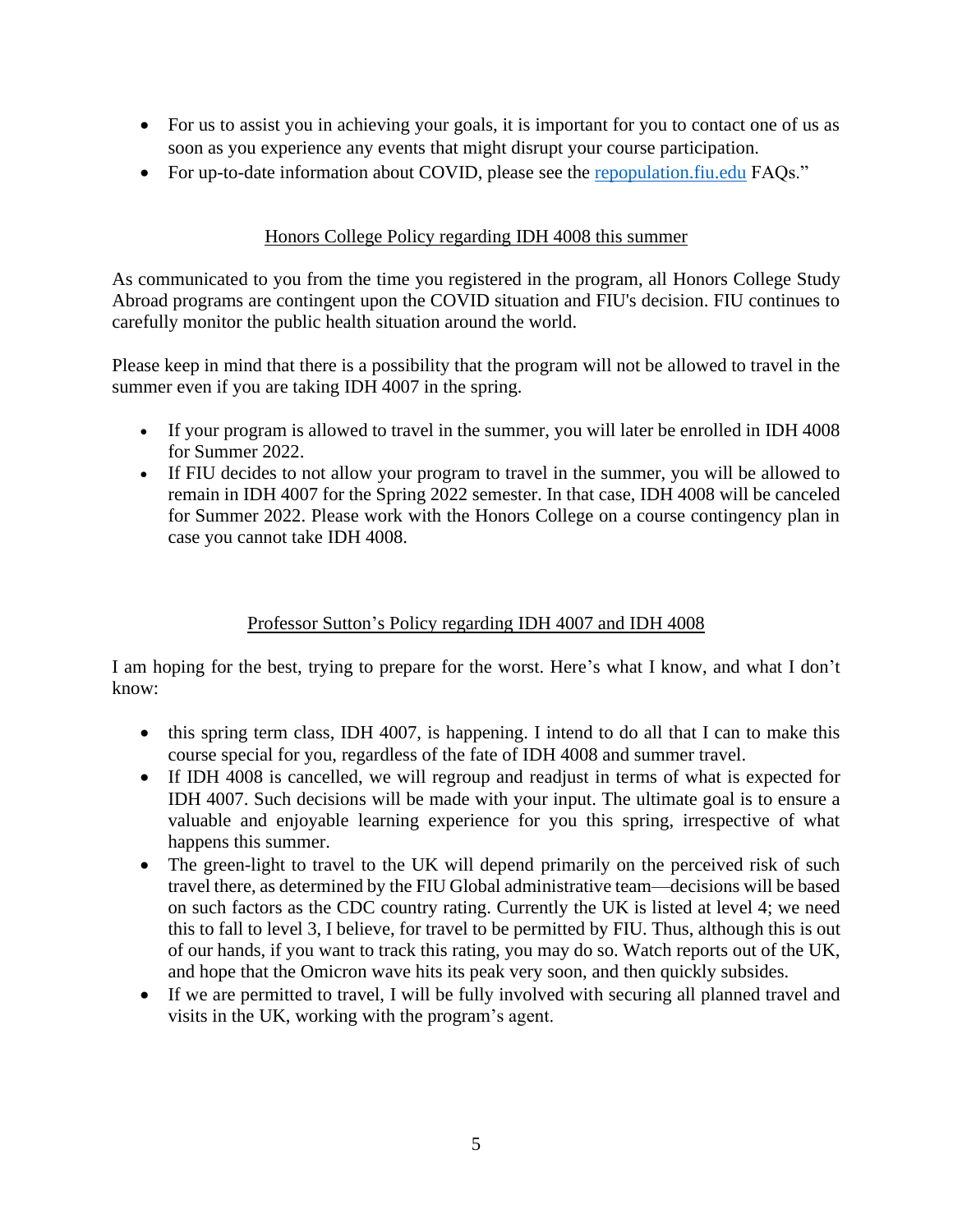- For us to assist you in achieving your goals, it is important for you to contact one of us as soon as you experience any events that might disrupt your course participation.
- For up-to-date information about COVID, please see the [repopulation.fiu.edu](https://repopulation.fiu.edu/students) FAQs."

# Honors College Policy regarding IDH 4008 this summer

As communicated to you from the time you registered in the program, all Honors College Study Abroad programs are contingent upon the COVID situation and FIU's decision. FIU continues to carefully monitor the public health situation around the world.

Please keep in mind that there is a possibility that the program will not be allowed to travel in the summer even if you are taking IDH 4007 in the spring.

- If your program is allowed to travel in the summer, you will later be enrolled in IDH 4008 for Summer 2022.
- If FIU decides to not allow your program to travel in the summer, you will be allowed to remain in IDH 4007 for the Spring 2022 semester. In that case, IDH 4008 will be canceled for Summer 2022. Please work with the Honors College on a course contingency plan in case you cannot take IDH 4008.

# Professor Sutton's Policy regarding IDH 4007 and IDH 4008

I am hoping for the best, trying to prepare for the worst. Here's what I know, and what I don't know:

- this spring term class, IDH 4007, is happening. I intend to do all that I can to make this course special for you, regardless of the fate of IDH 4008 and summer travel.
- If IDH 4008 is cancelled, we will regroup and readjust in terms of what is expected for IDH 4007. Such decisions will be made with your input. The ultimate goal is to ensure a valuable and enjoyable learning experience for you this spring, irrespective of what happens this summer.
- The green-light to travel to the UK will depend primarily on the perceived risk of such travel there, as determined by the FIU Global administrative team—decisions will be based on such factors as the CDC country rating. Currently the UK is listed at level 4; we need this to fall to level 3, I believe, for travel to be permitted by FIU. Thus, although this is out of our hands, if you want to track this rating, you may do so. Watch reports out of the UK, and hope that the Omicron wave hits its peak very soon, and then quickly subsides.
- If we are permitted to travel, I will be fully involved with securing all planned travel and visits in the UK, working with the program's agent.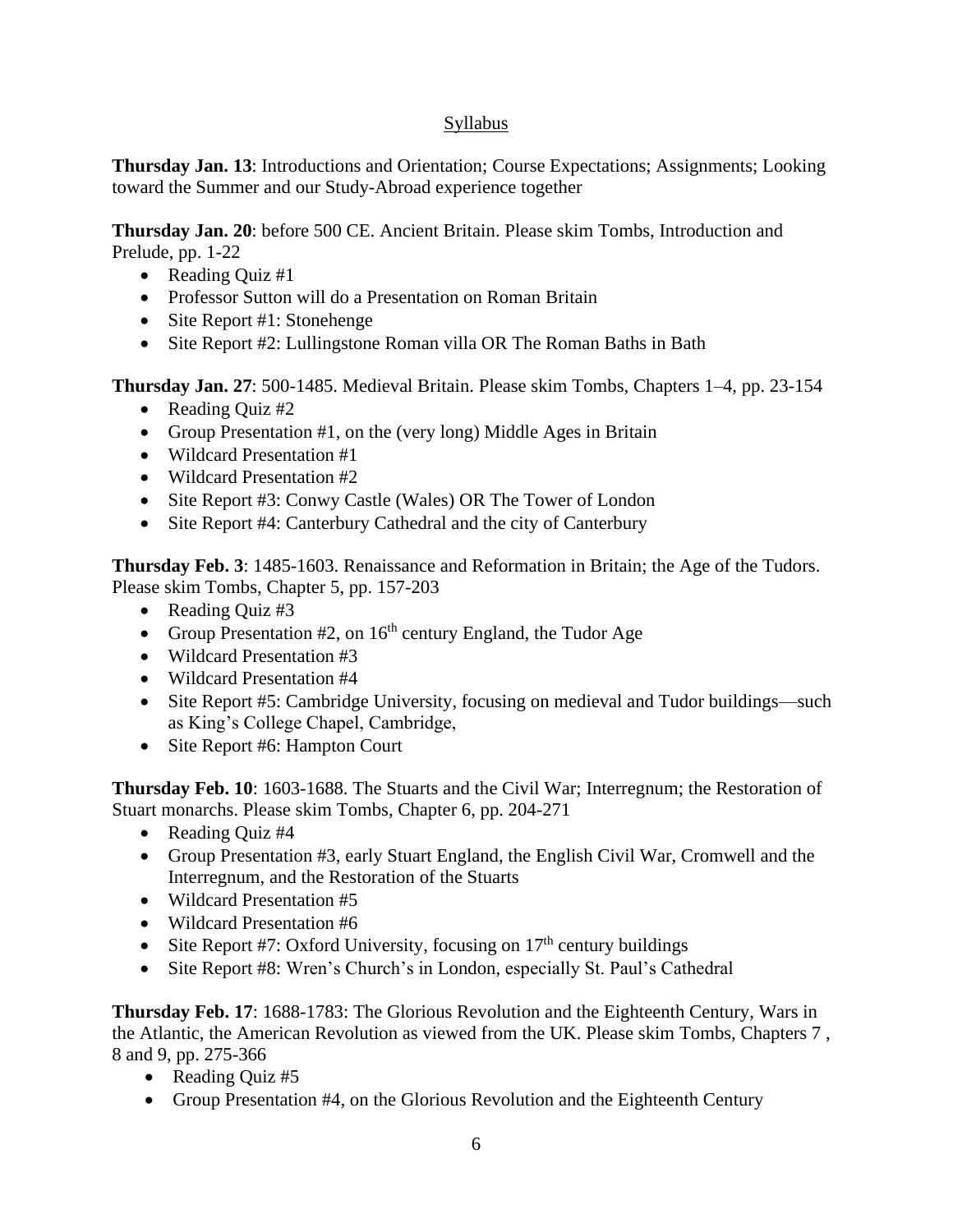# Syllabus

**Thursday Jan. 13**: Introductions and Orientation; Course Expectations; Assignments; Looking toward the Summer and our Study-Abroad experience together

**Thursday Jan. 20**: before 500 CE. Ancient Britain. Please skim Tombs, Introduction and Prelude, pp. 1-22

- Reading Quiz #1
- Professor Sutton will do a Presentation on Roman Britain
- Site Report #1: Stonehenge
- Site Report #2: Lullingstone Roman villa OR The Roman Baths in Bath

**Thursday Jan. 27**: 500-1485. Medieval Britain. Please skim Tombs, Chapters 1–4, pp. 23-154

- Reading Quiz #2
- Group Presentation #1, on the (very long) Middle Ages in Britain
- Wildcard Presentation #1
- Wildcard Presentation #2
- Site Report #3: Conwy Castle (Wales) OR The Tower of London
- Site Report #4: Canterbury Cathedral and the city of Canterbury

**Thursday Feb. 3**: 1485-1603. Renaissance and Reformation in Britain; the Age of the Tudors. Please skim Tombs, Chapter 5, pp. 157-203

- Reading Quiz #3
- Group Presentation  $#2$ , on  $16<sup>th</sup>$  century England, the Tudor Age
- Wildcard Presentation #3
- Wildcard Presentation #4
- Site Report #5: Cambridge University, focusing on medieval and Tudor buildings—such as King's College Chapel, Cambridge,
- Site Report #6: Hampton Court

**Thursday Feb. 10**: 1603-1688. The Stuarts and the Civil War; Interregnum; the Restoration of Stuart monarchs. Please skim Tombs, Chapter 6, pp. 204-271

- Reading Quiz #4
- Group Presentation #3, early Stuart England, the English Civil War, Cromwell and the Interregnum, and the Restoration of the Stuarts
- Wildcard Presentation #5
- Wildcard Presentation #6
- Site Report #7: Oxford University, focusing on  $17<sup>th</sup>$  century buildings
- Site Report #8: Wren's Church's in London, especially St. Paul's Cathedral

**Thursday Feb. 17**: 1688-1783: The Glorious Revolution and the Eighteenth Century, Wars in the Atlantic, the American Revolution as viewed from the UK. Please skim Tombs, Chapters 7 , 8 and 9, pp. 275-366

- Reading Quiz #5
- Group Presentation #4, on the Glorious Revolution and the Eighteenth Century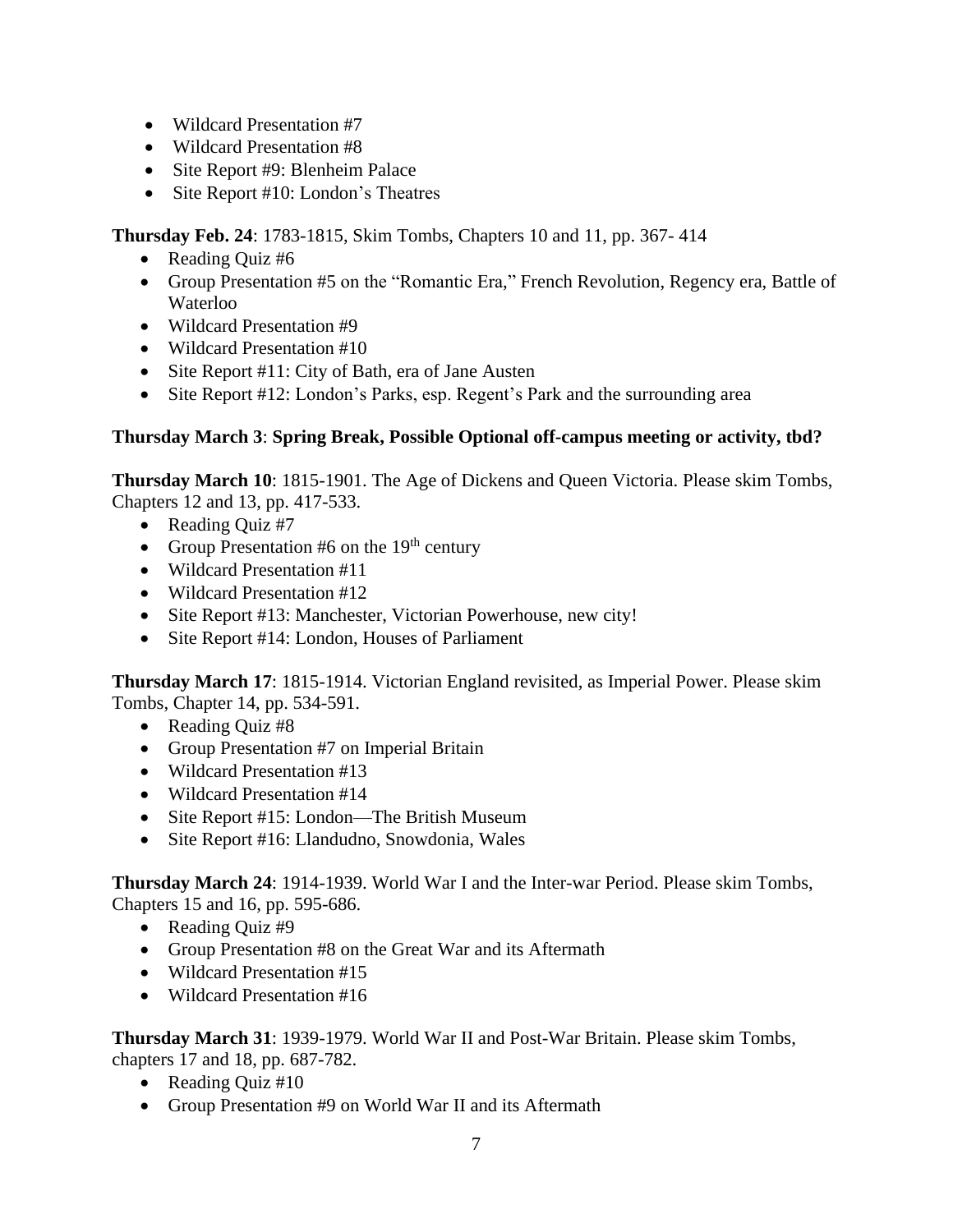- Wildcard Presentation #7
- Wildcard Presentation #8
- Site Report #9: Blenheim Palace
- Site Report #10: London's Theatres

**Thursday Feb. 24**: 1783-1815, Skim Tombs, Chapters 10 and 11, pp. 367- 414

- Reading Quiz #6
- Group Presentation #5 on the "Romantic Era," French Revolution, Regency era, Battle of Waterloo
- Wildcard Presentation #9
- Wildcard Presentation #10
- Site Report #11: City of Bath, era of Jane Austen
- Site Report #12: London's Parks, esp. Regent's Park and the surrounding area

## **Thursday March 3**: **Spring Break, Possible Optional off-campus meeting or activity, tbd?**

**Thursday March 10**: 1815-1901. The Age of Dickens and Queen Victoria. Please skim Tombs, Chapters 12 and 13, pp. 417-533.

- Reading Quiz #7
- Group Presentation #6 on the  $19<sup>th</sup>$  century
- Wildcard Presentation #11
- Wildcard Presentation #12
- Site Report #13: Manchester, Victorian Powerhouse, new city!
- Site Report #14: London, Houses of Parliament

**Thursday March 17**: 1815-1914. Victorian England revisited, as Imperial Power. Please skim Tombs, Chapter 14, pp. 534-591.

- Reading Quiz #8
- Group Presentation #7 on Imperial Britain
- Wildcard Presentation #13
- Wildcard Presentation #14
- Site Report #15: London—The British Museum
- Site Report #16: Llandudno, Snowdonia, Wales

**Thursday March 24**: 1914-1939. World War I and the Inter-war Period. Please skim Tombs, Chapters 15 and 16, pp. 595-686.

- Reading Quiz #9
- Group Presentation #8 on the Great War and its Aftermath
- Wildcard Presentation #15
- Wildcard Presentation #16

**Thursday March 31**: 1939-1979. World War II and Post-War Britain. Please skim Tombs, chapters 17 and 18, pp. 687-782.

- Reading Quiz #10
- Group Presentation #9 on World War II and its Aftermath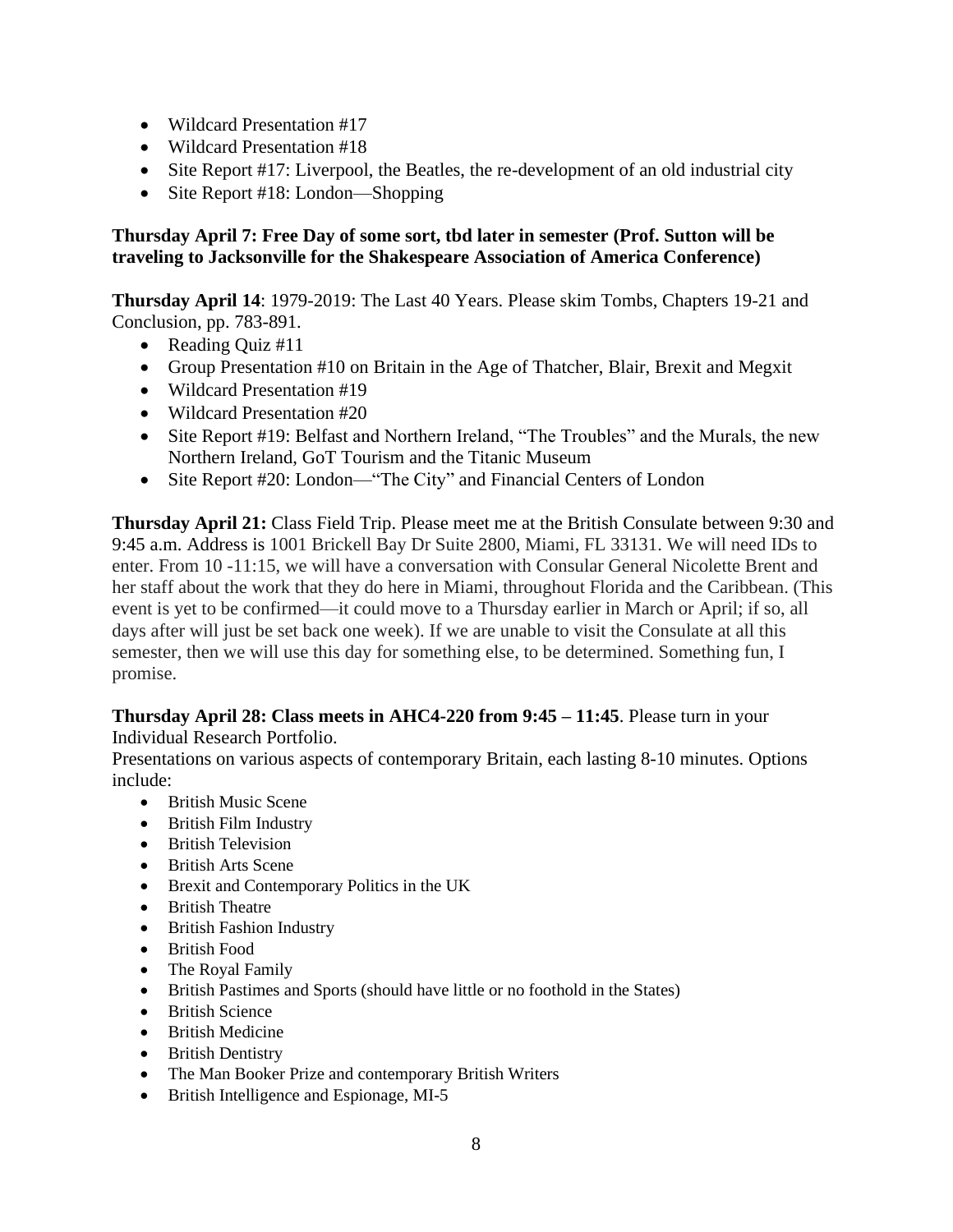- Wildcard Presentation #17
- Wildcard Presentation #18
- Site Report #17: Liverpool, the Beatles, the re-development of an old industrial city
- Site Report #18: London—Shopping

## **Thursday April 7: Free Day of some sort, tbd later in semester (Prof. Sutton will be traveling to Jacksonville for the Shakespeare Association of America Conference)**

**Thursday April 14**: 1979-2019: The Last 40 Years. Please skim Tombs, Chapters 19-21 and Conclusion, pp. 783-891.

- Reading Quiz #11
- Group Presentation #10 on Britain in the Age of Thatcher, Blair, Brexit and Megxit
- Wildcard Presentation #19
- Wildcard Presentation #20
- Site Report #19: Belfast and Northern Ireland, "The Troubles" and the Murals, the new Northern Ireland, GoT Tourism and the Titanic Museum
- Site Report #20: London—"The City" and Financial Centers of London

**Thursday April 21:** Class Field Trip. Please meet me at the British Consulate between 9:30 and 9:45 a.m. Address is 1001 Brickell Bay Dr Suite 2800, Miami, FL 33131. We will need IDs to enter. From 10 -11:15, we will have a conversation with Consular General Nicolette Brent and her staff about the work that they do here in Miami, throughout Florida and the Caribbean. (This event is yet to be confirmed—it could move to a Thursday earlier in March or April; if so, all days after will just be set back one week). If we are unable to visit the Consulate at all this semester, then we will use this day for something else, to be determined. Something fun, I promise.

### **Thursday April 28: Class meets in AHC4-220 from 9:45 – 11:45**. Please turn in your Individual Research Portfolio.

Presentations on various aspects of contemporary Britain, each lasting 8-10 minutes. Options include:

- British Music Scene
- British Film Industry
- British Television
- British Arts Scene
- Brexit and Contemporary Politics in the UK
- British Theatre
- British Fashion Industry
- British Food
- The Royal Family
- British Pastimes and Sports (should have little or no foothold in the States)
- British Science
- British Medicine
- British Dentistry
- The Man Booker Prize and contemporary British Writers
- British Intelligence and Espionage, MI-5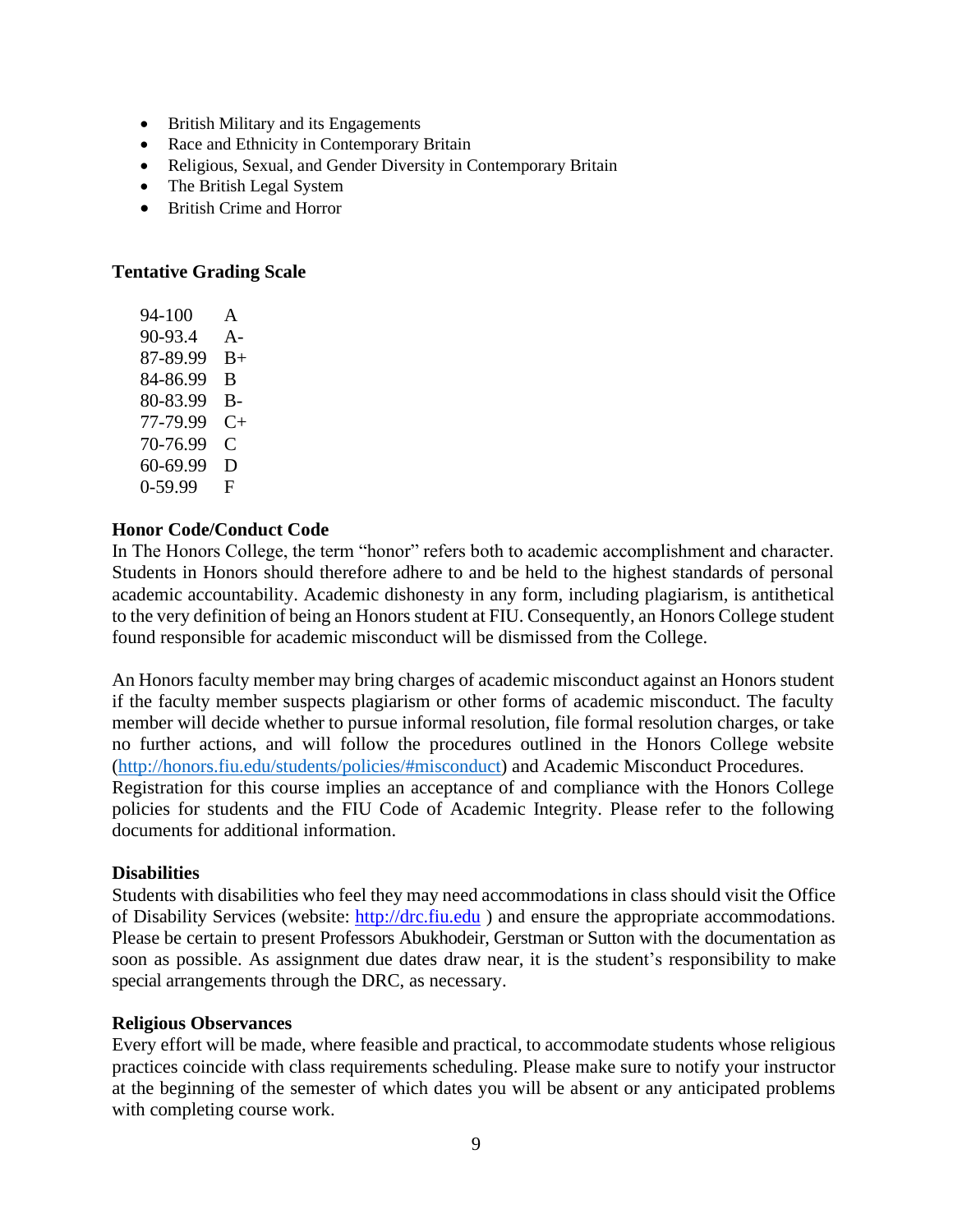- British Military and its Engagements
- Race and Ethnicity in Contemporary Britain
- Religious, Sexual, and Gender Diversity in Contemporary Britain
- The British Legal System
- British Crime and Horror

### **Tentative Grading Scale**

94-100 A 90-93.4 A-87-89.99 B+ 84-86.99 B 80-83.99 B-77-79.99 C+ 70-76.99 C 60-69.99 D 0-59.99 F

### **Honor Code/Conduct Code**

In The Honors College, the term "honor" refers both to academic accomplishment and character. Students in Honors should therefore adhere to and be held to the highest standards of personal academic accountability. Academic dishonesty in any form, including plagiarism, is antithetical to the very definition of being an Honors student at FIU. Consequently, an Honors College student found responsible for academic misconduct will be dismissed from the College.

An Honors faculty member may bring charges of academic misconduct against an Honors student if the faculty member suspects plagiarism or other forms of academic misconduct. The faculty member will decide whether to pursue informal resolution, file formal resolution charges, or take no further actions, and will follow the procedures outlined in the Honors College website [\(http://honors.fiu.edu/students/policies/#misconduct\)](about:blank#misconduct) and Academic Misconduct Procedures. Registration for this course implies an acceptance of and compliance with the Honors College policies for students and the FIU Code of Academic Integrity. Please refer to the following documents for additional information.

#### **Disabilities**

Students with disabilities who feel they may need accommodations in class should visit the Office of Disability Services (website: [http://drc.fiu.edu](about:blank) ) and ensure the appropriate accommodations. Please be certain to present Professors Abukhodeir, Gerstman or Sutton with the documentation as soon as possible. As assignment due dates draw near, it is the student's responsibility to make special arrangements through the DRC, as necessary.

#### **Religious Observances**

Every effort will be made, where feasible and practical, to accommodate students whose religious practices coincide with class requirements scheduling. Please make sure to notify your instructor at the beginning of the semester of which dates you will be absent or any anticipated problems with completing course work.